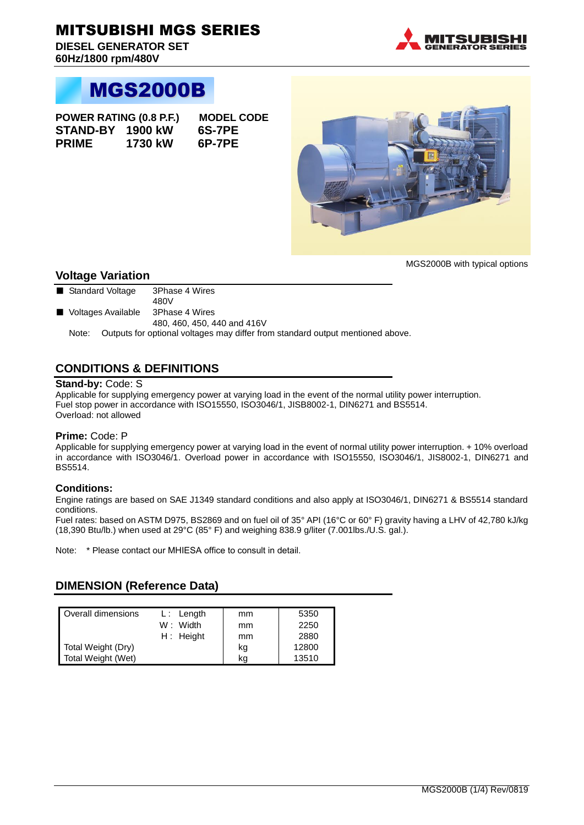**DIESEL GENERATOR SET 60Hz/1800 rpm/480V**



# MGS2000B

**POWER RATING (0.8 P.F.) MODEL CODE STAND-BY 1900 kW 6S-7PE PRIME 1730 kW 6P-7PE**



MGS2000B with typical options

#### **Voltage Variation**

- Standard Voltage 3Phase 4 Wires
- 480V ■ Voltages Available 3Phase 4 Wires
	- 480, 460, 450, 440 and 416V

Note: Outputs for optional voltages may differ from standard output mentioned above.

### **CONDITIONS & DEFINITIONS**

#### **Stand-by:** Code: S

Applicable for supplying emergency power at varying load in the event of the normal utility power interruption. Fuel stop power in accordance with ISO15550, ISO3046/1, JISB8002-1, DIN6271 and BS5514. Overload: not allowed

#### **Prime:** Code: P

Applicable for supplying emergency power at varying load in the event of normal utility power interruption. + 10% overload in accordance with ISO3046/1. Overload power in accordance with ISO15550, ISO3046/1, JIS8002-1, DIN6271 and BS5514.

#### **Conditions:**

Engine ratings are based on SAE J1349 standard conditions and also apply at ISO3046/1, DIN6271 & BS5514 standard conditions.

Fuel rates: based on ASTM D975, BS2869 and on fuel oil of 35° API (16°C or 60° F) gravity having a LHV of 42,780 kJ/kg (18,390 Btu/lb.) when used at 29°C (85° F) and weighing 838.9 g/liter (7.001lbs./U.S. gal.).

Note: \* Please contact our MHIESA office to consult in detail.

### **DIMENSION (Reference Data)**

| Overall dimensions | $L:$ Length | mm | 5350  |
|--------------------|-------------|----|-------|
|                    | W: Width    | mm | 2250  |
|                    | $H:$ Height | mm | 2880  |
| Total Weight (Dry) |             | kg | 12800 |
| Total Weight (Wet) |             | kg | 13510 |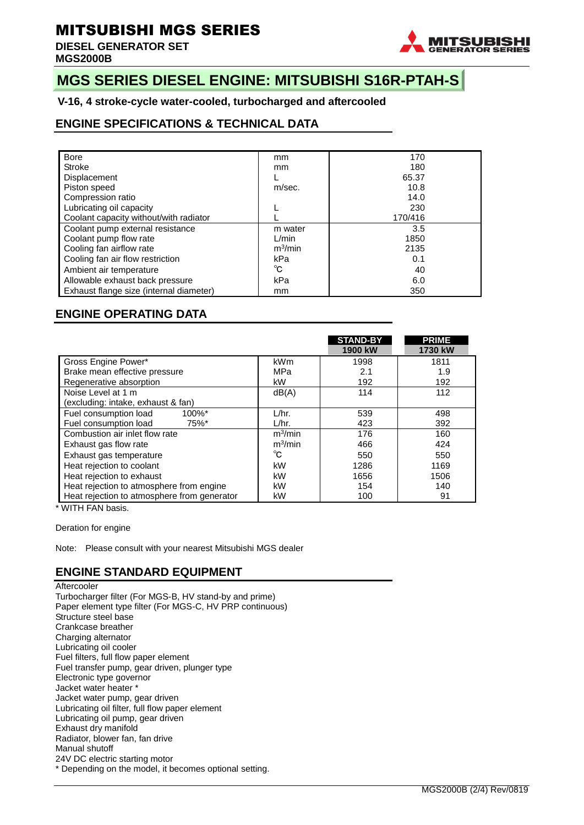**DIESEL GENERATOR SET MGS2000B** 



## **MGS SERIES DIESEL ENGINE: MITSUBISHI S16R-PTAH-S**

**V-16, 4 stroke-cycle water-cooled, turbocharged and aftercooled**

### **ENGINE SPECIFICATIONS & TECHNICAL DATA**

| <b>Bore</b>                             | mm          | 170     |  |  |
|-----------------------------------------|-------------|---------|--|--|
| Stroke                                  | mm          | 180     |  |  |
| <b>Displacement</b>                     |             | 65.37   |  |  |
| Piston speed                            | m/sec.      | 10.8    |  |  |
| Compression ratio                       |             | 14.0    |  |  |
| Lubricating oil capacity                |             | 230     |  |  |
| Coolant capacity without/with radiator  |             | 170/416 |  |  |
| Coolant pump external resistance        | m water     | 3.5     |  |  |
| Coolant pump flow rate                  | L/min       | 1850    |  |  |
| Cooling fan airflow rate                | $m^3/m$ in  | 2135    |  |  |
| Cooling fan air flow restriction        | kPa         | 0.1     |  |  |
| Ambient air temperature                 | $^{\circ}C$ | 40      |  |  |
| Allowable exhaust back pressure         | kPa         |         |  |  |
| Exhaust flange size (internal diameter) | mm          | 350     |  |  |

### **ENGINE OPERATING DATA**

|                                             |            | <b>STAND-BY</b><br>1900 kW | <b>PRIME</b><br>1730 kW |
|---------------------------------------------|------------|----------------------------|-------------------------|
| Gross Engine Power*                         | <b>kWm</b> | 1998                       | 1811                    |
| Brake mean effective pressure               | MPa        | 2.1                        | 1.9                     |
| Regenerative absorption                     | kW         | 192                        | 192                     |
| Noise Level at 1 m                          | dB(A)      | 114                        | 112                     |
| (excluding: intake, exhaust & fan)          |            |                            |                         |
| Fuel consumption load<br>$100\%$ *          | L/hr.      | 539                        | 498                     |
| Fuel consumption load<br>75%*               | L/hr.      | 423                        | 392                     |
| Combustion air inlet flow rate              | $m^3/m$ in | 176                        | 160                     |
| Exhaust gas flow rate                       | $m^3/m$ in | 466                        | 424                     |
| Exhaust gas temperature                     | °C         | 550                        | 550                     |
| Heat rejection to coolant                   | kW         | 1286                       | 1169                    |
| Heat rejection to exhaust                   | kW         | 1656                       | 1506                    |
| Heat rejection to atmosphere from engine    | kW         | 154                        | 140                     |
| Heat rejection to atmosphere from generator | kW         | 100                        | 91                      |

\* WITH FAN basis.

Deration for engine

Note: Please consult with your nearest Mitsubishi MGS dealer

### **ENGINE STANDARD EQUIPMENT**

**Aftercooler** Turbocharger filter (For MGS-B, HV stand-by and prime) Paper element type filter (For MGS-C, HV PRP continuous) Structure steel base Crankcase breather Charging alternator Lubricating oil cooler Fuel filters, full flow paper element Fuel transfer pump, gear driven, plunger type Electronic type governor Jacket water heater \* Jacket water pump, gear driven Lubricating oil filter, full flow paper element Lubricating oil pump, gear driven Exhaust dry manifold Radiator, blower fan, fan drive Manual shutoff 24V DC electric starting motor \* Depending on the model, it becomes optional setting.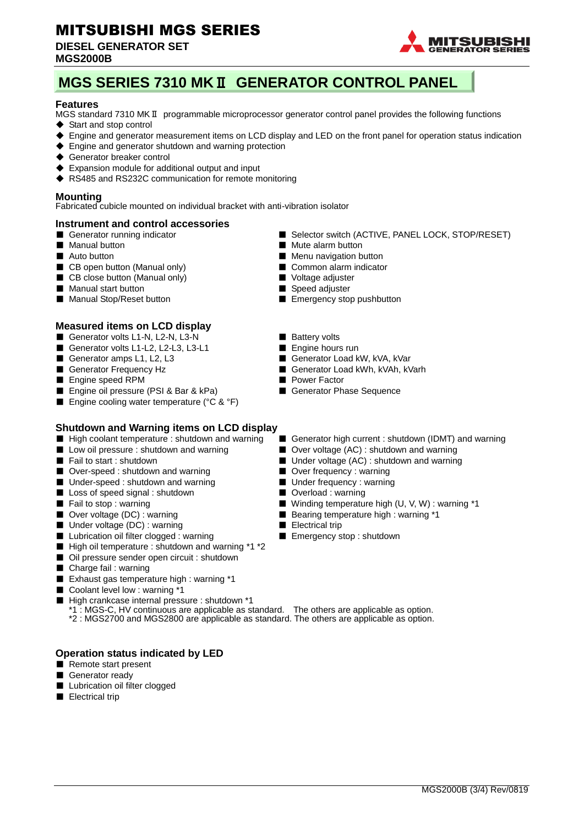#### **DIESEL GENERATOR SET MGS2000B**



# **MGS SERIES 7310 MK**Ⅱ **GENERATOR CONTROL PANEL**

#### **Features**

MGS standard 7310 MKⅡ programmable microprocessor generator control panel provides the following functions

- ◆ Start and stop control
- ◆ Engine and generator measurement items on LCD display and LED on the front panel for operation status indication
- ◆ Engine and generator shutdown and warning protection
- ◆ Generator breaker control
- ◆ Expansion module for additional output and input
- ◆ RS485 and RS232C communication for remote monitoring

#### **Mounting**

Fabricated cubicle mounted on individual bracket with anti-vibration isolator

#### **Instrument and control accessories**

- 
- 
- 
- CB open button (Manual only) Common alarm indicator
- CB close button (Manual only) Voltage adjuster
- Manual start button Speed adjuster
- 

#### **Measured items on LCD display**

- Generator volts L1-N, L2-N, L3-N Battery volts
- Generator volts L1-L2, L2-L3, L3-L1 Engine hours run<br>■ Generator amps L1. L2. L3 Generator Load k
- 
- 
- 
- Engine speed RPM<br>■ Engine oil pressure (PSI & Bar & kPa) Generator Phase Sequence ■ Engine oil pressure (PSI & Bar & kPa)
- Engine cooling water temperature (°C & °F)

#### **Shutdown and Warning items on LCD display**

- 
- 
- 
- Over-speed : shutdown and warning Over frequency : warning
- Under-speed : shutdown and warning Under frequency : warning
- Loss of speed signal : shutdown Overload : warning
- 
- 
- Under voltage (DC) : warning <br>■ Electrical trip
- Lubrication oil filter clogged : warning Emergency stop : shutdown
- High oil temperature : shutdown and warning \*1 \*2
- Oil pressure sender open circuit : shutdown
- Charge fail : warning
- Exhaust gas temperature high : warning \*1
- Coolant level low : warning \*1
- High crankcase internal pressure : shutdown \*1
	- \*1 : MGS-C, HV continuous are applicable as standard. The others are applicable as option. \*2 : MGS2700 and MGS2800 are applicable as standard. The others are applicable as option.

#### **Operation status indicated by LED**

- Remote start present
- Generator ready
- Lubrication oil filter clogged
- Electrical trip
- Generator running indicator ■ Selector switch (ACTIVE, PANEL LOCK, STOP/RESET)
- Manual button Mute alarm button
- Auto button Menu navigation button
	-
	-
	-
- Manual Stop/Reset button ■ Emergency stop pushbutton
	-
	-
	- Generator Load kW, kVA, kVar
- Generator Frequency Hz  **Generator Load kWh, kVAh, kVarh** 
	-
	-
- High coolant temperature : shutdown and warning Generator high current : shutdown (IDMT) and warning
- Low oil pressure : shutdown and warning Over voltage (AC) : shutdown and warning
- Fail to start : shutdown <br>■ Under voltage (AC) : shutdown and warning
	-
	-
	-
- Fail to stop : warning <br>■ Winding temperature high (U, V, W) : warning \*1
- Over voltage (DC) : warning <br>■ Bearing temperature high : warning \*1
	-
	-